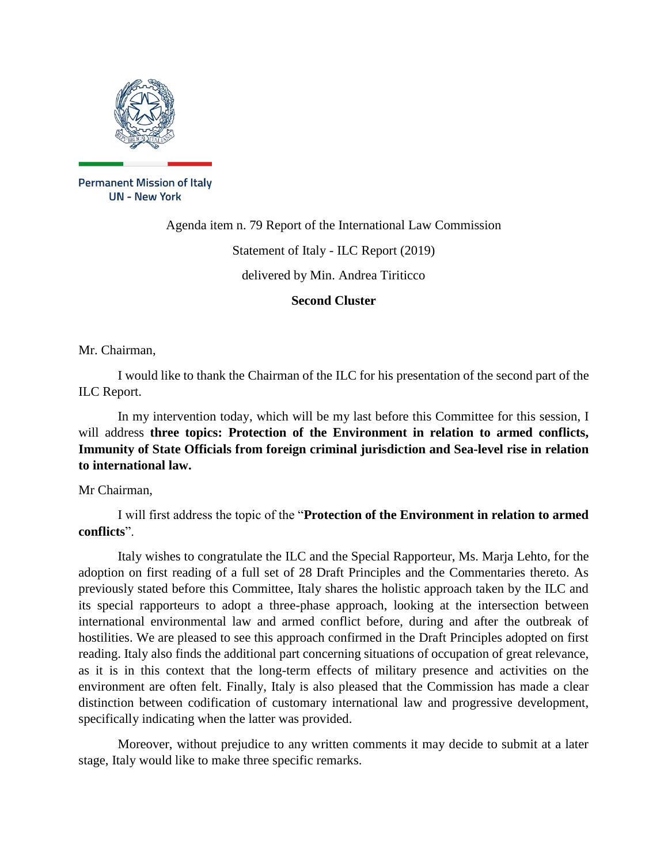

**Permanent Mission of Italy UN - New York** 

Agenda item n. 79 Report of the International Law Commission

Statement of Italy - ILC Report (2019)

delivered by Min. Andrea Tiriticco

**Second Cluster**

Mr. Chairman,

I would like to thank the Chairman of the ILC for his presentation of the second part of the ILC Report.

In my intervention today, which will be my last before this Committee for this session, I will address **three topics: Protection of the Environment in relation to armed conflicts, Immunity of State Officials from foreign criminal jurisdiction and Sea-level rise in relation to international law.**

Mr Chairman,

I will first address the topic of the "**Protection of the Environment in relation to armed conflicts**".

Italy wishes to congratulate the ILC and the Special Rapporteur, Ms. Marja Lehto, for the adoption on first reading of a full set of 28 Draft Principles and the Commentaries thereto. As previously stated before this Committee, Italy shares the holistic approach taken by the ILC and its special rapporteurs to adopt a three-phase approach, looking at the intersection between international environmental law and armed conflict before, during and after the outbreak of hostilities. We are pleased to see this approach confirmed in the Draft Principles adopted on first reading. Italy also finds the additional part concerning situations of occupation of great relevance, as it is in this context that the long-term effects of military presence and activities on the environment are often felt. Finally, Italy is also pleased that the Commission has made a clear distinction between codification of customary international law and progressive development, specifically indicating when the latter was provided.

Moreover, without prejudice to any written comments it may decide to submit at a later stage, Italy would like to make three specific remarks.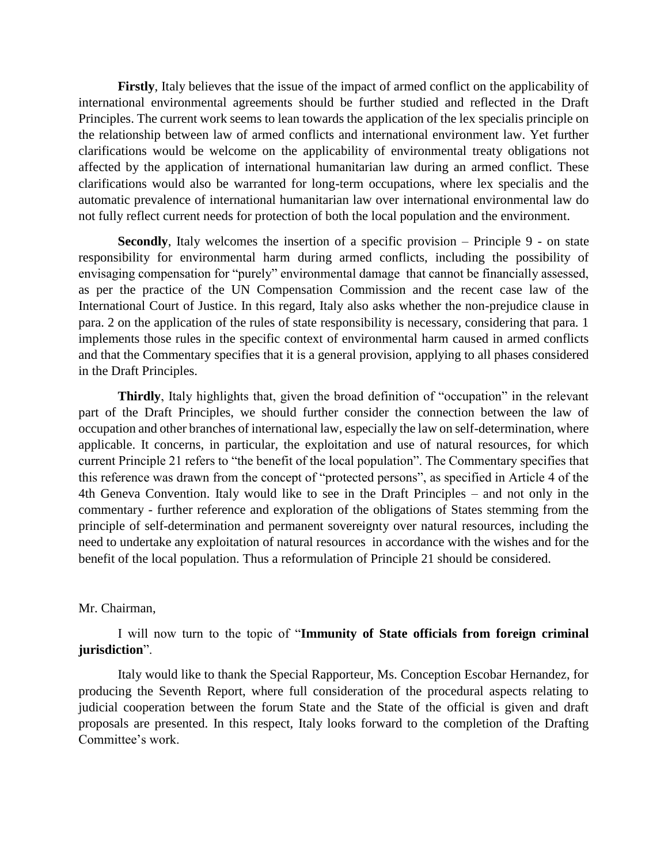**Firstly**, Italy believes that the issue of the impact of armed conflict on the applicability of international environmental agreements should be further studied and reflected in the Draft Principles. The current work seems to lean towards the application of the lex specialis principle on the relationship between law of armed conflicts and international environment law. Yet further clarifications would be welcome on the applicability of environmental treaty obligations not affected by the application of international humanitarian law during an armed conflict. These clarifications would also be warranted for long-term occupations, where lex specialis and the automatic prevalence of international humanitarian law over international environmental law do not fully reflect current needs for protection of both the local population and the environment.

**Secondly**, Italy welcomes the insertion of a specific provision – Principle 9 - on state responsibility for environmental harm during armed conflicts, including the possibility of envisaging compensation for "purely" environmental damage that cannot be financially assessed, as per the practice of the UN Compensation Commission and the recent case law of the International Court of Justice. In this regard, Italy also asks whether the non-prejudice clause in para. 2 on the application of the rules of state responsibility is necessary, considering that para. 1 implements those rules in the specific context of environmental harm caused in armed conflicts and that the Commentary specifies that it is a general provision, applying to all phases considered in the Draft Principles.

**Thirdly**, Italy highlights that, given the broad definition of "occupation" in the relevant part of the Draft Principles, we should further consider the connection between the law of occupation and other branches of international law, especially the law on self-determination, where applicable. It concerns, in particular, the exploitation and use of natural resources, for which current Principle 21 refers to "the benefit of the local population". The Commentary specifies that this reference was drawn from the concept of "protected persons", as specified in Article 4 of the 4th Geneva Convention. Italy would like to see in the Draft Principles – and not only in the commentary - further reference and exploration of the obligations of States stemming from the principle of self-determination and permanent sovereignty over natural resources, including the need to undertake any exploitation of natural resources in accordance with the wishes and for the benefit of the local population. Thus a reformulation of Principle 21 should be considered.

## Mr. Chairman,

I will now turn to the topic of "**Immunity of State officials from foreign criminal jurisdiction**".

Italy would like to thank the Special Rapporteur, Ms. Conception Escobar Hernandez, for producing the Seventh Report, where full consideration of the procedural aspects relating to judicial cooperation between the forum State and the State of the official is given and draft proposals are presented. In this respect, Italy looks forward to the completion of the Drafting Committee's work.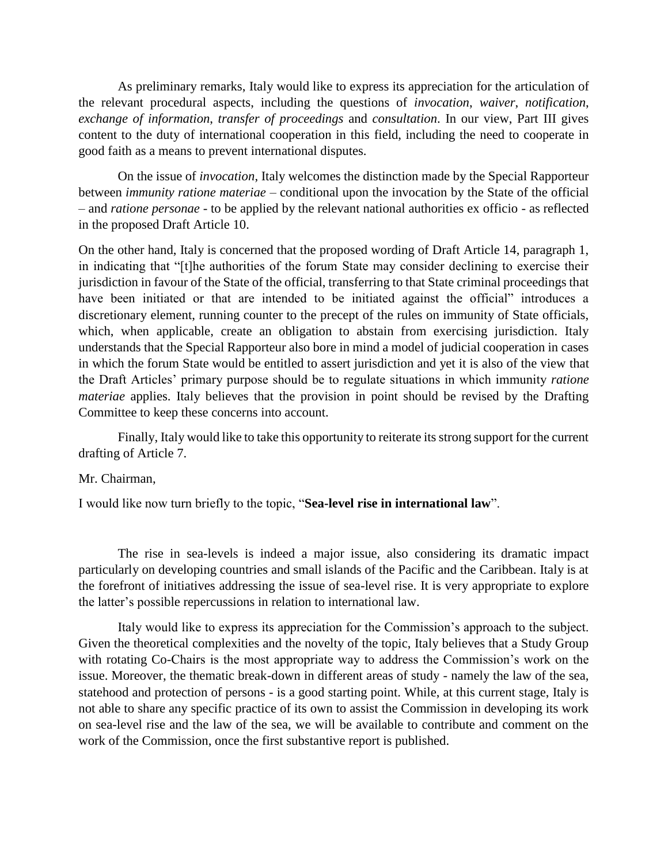As preliminary remarks, Italy would like to express its appreciation for the articulation of the relevant procedural aspects, including the questions of *invocation*, *waiver*, *notification*, *exchange of information*, *transfer of proceedings* and *consultation*. In our view, Part III gives content to the duty of international cooperation in this field, including the need to cooperate in good faith as a means to prevent international disputes.

On the issue of *invocation*, Italy welcomes the distinction made by the Special Rapporteur between *immunity ratione materiae* – conditional upon the invocation by the State of the official – and *ratione personae* - to be applied by the relevant national authorities ex officio - as reflected in the proposed Draft Article 10.

On the other hand, Italy is concerned that the proposed wording of Draft Article 14, paragraph 1, in indicating that "[t]he authorities of the forum State may consider declining to exercise their jurisdiction in favour of the State of the official, transferring to that State criminal proceedings that have been initiated or that are intended to be initiated against the official" introduces a discretionary element, running counter to the precept of the rules on immunity of State officials, which, when applicable, create an obligation to abstain from exercising jurisdiction. Italy understands that the Special Rapporteur also bore in mind a model of judicial cooperation in cases in which the forum State would be entitled to assert jurisdiction and yet it is also of the view that the Draft Articles' primary purpose should be to regulate situations in which immunity *ratione materiae* applies. Italy believes that the provision in point should be revised by the Drafting Committee to keep these concerns into account.

Finally, Italy would like to take this opportunity to reiterate its strong support for the current drafting of Article 7.

## Mr. Chairman,

I would like now turn briefly to the topic, "**Sea-level rise in international law**".

The rise in sea-levels is indeed a major issue, also considering its dramatic impact particularly on developing countries and small islands of the Pacific and the Caribbean. Italy is at the forefront of initiatives addressing the issue of sea-level rise. It is very appropriate to explore the latter's possible repercussions in relation to international law.

Italy would like to express its appreciation for the Commission's approach to the subject. Given the theoretical complexities and the novelty of the topic, Italy believes that a Study Group with rotating Co-Chairs is the most appropriate way to address the Commission's work on the issue. Moreover, the thematic break-down in different areas of study - namely the law of the sea, statehood and protection of persons - is a good starting point. While, at this current stage, Italy is not able to share any specific practice of its own to assist the Commission in developing its work on sea-level rise and the law of the sea, we will be available to contribute and comment on the work of the Commission, once the first substantive report is published.